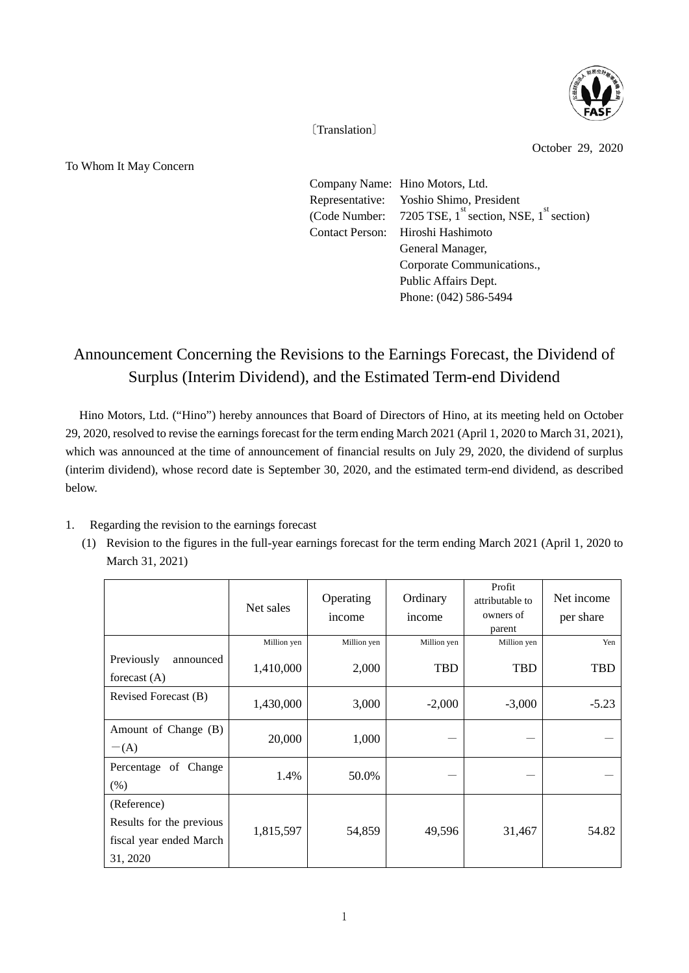

〔Translation〕

To Whom It May Concern

October 29, 2020

Company Name: Hino Motors, Ltd. Representative: Yoshio Shimo, President (Code Number: 7205 TSE,  $1^{st}$  section, NSE,  $1^{st}$  section) Contact Person: Hiroshi Hashimoto General Manager, Corporate Communications., Public Affairs Dept. Phone: (042) 586-5494

## Announcement Concerning the Revisions to the Earnings Forecast, the Dividend of Surplus (Interim Dividend), and the Estimated Term-end Dividend

Hino Motors, Ltd. ("Hino") hereby announces that Board of Directors of Hino, at its meeting held on October 29, 2020, resolved to revise the earnings forecast for the term ending March 2021 (April 1, 2020 to March 31, 2021), which was announced at the time of announcement of financial results on July 29, 2020, the dividend of surplus (interim dividend), whose record date is September 30, 2020, and the estimated term-end dividend, as described below.

- 1. Regarding the revision to the earnings forecast
	- (1) Revision to the figures in the full-year earnings forecast for the term ending March 2021 (April 1, 2020 to March 31, 2021)

|                                                                                | Net sales   | Operating<br>income | Ordinary<br>income | Profit<br>attributable to<br>owners of<br>parent | Net income<br>per share |
|--------------------------------------------------------------------------------|-------------|---------------------|--------------------|--------------------------------------------------|-------------------------|
|                                                                                | Million yen | Million yen         | Million yen        | Million yen                                      | Yen                     |
| Previously<br>announced<br>forecast $(A)$                                      | 1,410,000   | 2,000               | <b>TBD</b>         | <b>TBD</b>                                       | TBD                     |
| Revised Forecast (B)                                                           | 1,430,000   | 3,000               | $-2,000$           | $-3,000$                                         | $-5.23$                 |
| Amount of Change (B)<br>$-(A)$                                                 | 20,000      | 1,000               |                    |                                                  |                         |
| Percentage of Change<br>(% )                                                   | 1.4%        | 50.0%               |                    |                                                  |                         |
| (Reference)<br>Results for the previous<br>fiscal year ended March<br>31, 2020 | 1,815,597   | 54,859              | 49,596             | 31,467                                           | 54.82                   |